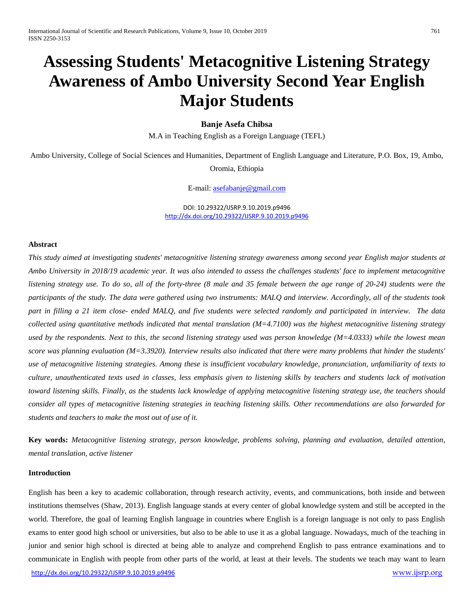# **Assessing Students' Metacognitive Listening Strategy Awareness of Ambo University Second Year English Major Students**

# **Banje Asefa Chibsa**

M.A in Teaching English as a Foreign Language (TEFL)

Ambo University, College of Social Sciences and Humanities, Department of English Language and Literature, P.O. Box, 19, Ambo, Oromia, Ethiopia

E-mail: [asefabanje@gmail.com](mailto:asefabanje@gmail.com)

DOI: 10.29322/IJSRP.9.10.2019.p9496 <http://dx.doi.org/10.29322/IJSRP.9.10.2019.p9496>

#### **Abstract**

*This study aimed at investigating students' metacognitive listening strategy awareness among second year English major students at Ambo University in 2018/19 academic year. It was also intended to assess the challenges students' face to implement metacognitive listening strategy use. To do so, all of the forty-three (8 male and 35 female between the age range of 20-24) students were the participants of the study. The data were gathered using two instruments: MALQ and interview. Accordingly, all of the students took part in filling a 21 item close- ended MALQ, and five students were selected randomly and participated in interview. The data collected using quantitative methods indicated that mental translation (M=4.7100) was the highest metacognitive listening strategy used by the respondents. Next to this, the second listening strategy used was person knowledge (M=4.0333) while the lowest mean score was planning evaluation (M=3.3920). Interview results also indicated that there were many problems that hinder the students' use of metacognitive listening strategies. Among these is insufficient vocabulary knowledge, pronunciation, unfamiliarity of texts to culture, unauthenticated texts used in classes, less emphasis given to listening skills by teachers and students lack of motivation toward listening skills. Finally, as the students lack knowledge of applying metacognitive listening strategy use, the teachers should consider all types of metacognitive listening strategies in teaching listening skills. Other recommendations are also forwarded for students and teachers to make the most out of use of it.*

**Key words:** *Metacognitive listening strategy, person knowledge, problems solving, planning and evaluation, detailed attention, mental translation, active listener* 

# **Introduction**

<http://dx.doi.org/10.29322/IJSRP.9.10.2019.p9496> [www.ijsrp.org](http://ijsrp.org/) English has been a key to academic collaboration, through research activity, events, and communications, both inside and between institutions themselves (Shaw, 2013). English language stands at every center of global knowledge system and still be accepted in the world. Therefore, the goal of learning English language in countries where English is a foreign language is not only to pass English exams to enter good high school or universities, but also to be able to use it as a global language. Nowadays, much of the teaching in junior and senior high school is directed at being able to analyze and comprehend English to pass entrance examinations and to communicate in English with people from other parts of the world, at least at their levels. The students we teach may want to learn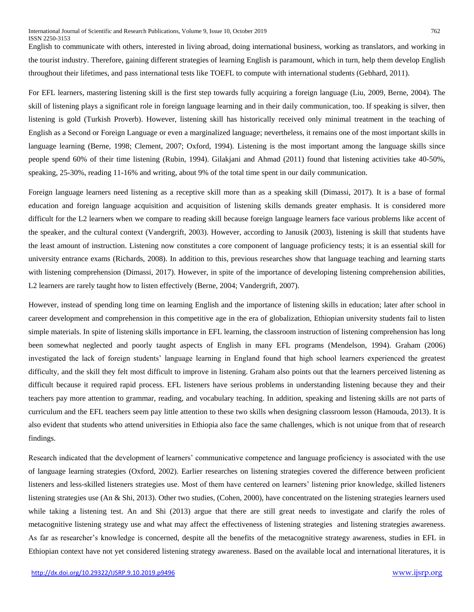English to communicate with others, interested in living abroad, doing international business, working as translators, and working in the tourist industry. Therefore, gaining different strategies of learning English is paramount, which in turn, help them develop English throughout their lifetimes, and pass international tests like TOEFL to compute with international students (Gebhard, 2011).

For EFL learners, mastering listening skill is the first step towards fully acquiring a foreign language (Liu, 2009, Berne, 2004). The skill of listening plays a significant role in foreign language learning and in their daily communication, too. If speaking is silver, then listening is gold (Turkish Proverb). However, listening skill has historically received only minimal treatment in the teaching of English as a Second or Foreign Language or even a marginalized language; nevertheless, it remains one of the most important skills in language learning (Berne, 1998; Clement, 2007; Oxford, 1994). Listening is the most important among the language skills since people spend 60% of their time listening (Rubin, 1994). Gilakjani and Ahmad (2011) found that listening activities take 40-50%, speaking, 25-30%, reading 11-16% and writing, about 9% of the total time spent in our daily communication.

Foreign language learners need listening as a receptive skill more than as a speaking skill (Dimassi, 2017). It is a base of formal education and foreign language acquisition and acquisition of listening skills demands greater emphasis. It is considered more difficult for the L2 learners when we compare to reading skill because foreign language learners face various problems like accent of the speaker, and the cultural context (Vandergrift, 2003). However, according to Janusik (2003), listening is skill that students have the least amount of instruction. Listening now constitutes a core component of language proficiency tests; it is an essential skill for university entrance exams (Richards, 2008). In addition to this, previous researches show that language teaching and learning starts with listening comprehension (Dimassi, 2017). However, in spite of the importance of developing listening comprehension abilities, L2 learners are rarely taught how to listen effectively (Berne, 2004; Vandergrift, 2007).

However, instead of spending long time on learning English and the importance of listening skills in education; later after school in career development and comprehension in this competitive age in the era of globalization, Ethiopian university students fail to listen simple materials. In spite of listening skills importance in EFL learning, the classroom instruction of listening comprehension has long been somewhat neglected and poorly taught aspects of English in many EFL programs (Mendelson, 1994). Graham (2006) investigated the lack of foreign students' language learning in England found that high school learners experienced the greatest difficulty, and the skill they felt most difficult to improve in listening. Graham also points out that the learners perceived listening as difficult because it required rapid process. EFL listeners have serious problems in understanding listening because they and their teachers pay more attention to grammar, reading, and vocabulary teaching. In addition, speaking and listening skills are not parts of curriculum and the EFL teachers seem pay little attention to these two skills when designing classroom lesson (Hamouda, 2013). It is also evident that students who attend universities in Ethiopia also face the same challenges, which is not unique from that of research findings.

Research indicated that the development of learners' communicative competence and language proficiency is associated with the use of language learning strategies (Oxford, 2002). Earlier researches on listening strategies covered the difference between proficient listeners and less-skilled listeners strategies use. Most of them have centered on learners' listening prior knowledge, skilled listeners listening strategies use (An & Shi, 2013). Other two studies, (Cohen, 2000), have concentrated on the listening strategies learners used while taking a listening test. An and Shi (2013) argue that there are still great needs to investigate and clarify the roles of metacognitive listening strategy use and what may affect the effectiveness of listening strategies and listening strategies awareness. As far as researcher's knowledge is concerned, despite all the benefits of the metacognitive strategy awareness, studies in EFL in Ethiopian context have not yet considered listening strategy awareness. Based on the available local and international literatures, it is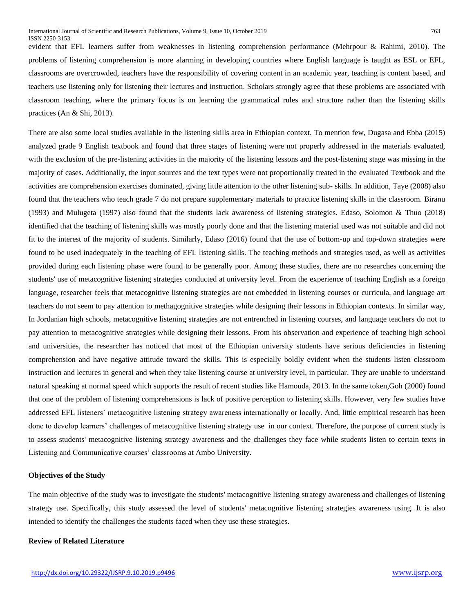evident that EFL learners suffer from weaknesses in listening comprehension performance (Mehrpour & Rahimi, 2010). The problems of listening comprehension is more alarming in developing countries where English language is taught as ESL or EFL, classrooms are overcrowded, teachers have the responsibility of covering content in an academic year, teaching is content based, and teachers use listening only for listening their lectures and instruction. Scholars strongly agree that these problems are associated with classroom teaching, where the primary focus is on learning the grammatical rules and structure rather than the listening skills practices (An & Shi, 2013).

There are also some local studies available in the listening skills area in Ethiopian context. To mention few, Dugasa and Ebba (2015) analyzed grade 9 English textbook and found that three stages of listening were not properly addressed in the materials evaluated, with the exclusion of the pre-listening activities in the majority of the listening lessons and the post-listening stage was missing in the majority of cases. Additionally, the input sources and the text types were not proportionally treated in the evaluated Textbook and the activities are comprehension exercises dominated, giving little attention to the other listening sub- skills. In addition, Taye (2008) also found that the teachers who teach grade 7 do not prepare supplementary materials to practice listening skills in the classroom. Biranu (1993) and Mulugeta (1997) also found that the students lack awareness of listening strategies. Edaso, Solomon & Thuo (2018) identified that the teaching of listening skills was mostly poorly done and that the listening material used was not suitable and did not fit to the interest of the majority of students. Similarly, Edaso (2016) found that the use of bottom-up and top-down strategies were found to be used inadequately in the teaching of EFL listening skills. The teaching methods and strategies used, as well as activities provided during each listening phase were found to be generally poor. Among these studies, there are no researches concerning the students' use of metacognitive listening strategies conducted at university level. From the experience of teaching English as a foreign language, researcher feels that metacognitive listening strategies are not embedded in listening courses or curricula, and language art teachers do not seem to pay attention to methagognitive strategies while designing their lessons in Ethiopian contexts. In similar way, In Jordanian high schools, metacognitive listening strategies are not entrenched in listening courses, and language teachers do not to pay attention to metacognitive strategies while designing their lessons. From his observation and experience of teaching high school and universities, the researcher has noticed that most of the Ethiopian university students have serious deficiencies in listening comprehension and have negative attitude toward the skills. This is especially boldly evident when the students listen classroom instruction and lectures in general and when they take listening course at university level, in particular. They are unable to understand natural speaking at normal speed which supports the result of recent studies like Hamouda, 2013. In the same token,Goh (2000) found that one of the problem of listening comprehensions is lack of positive perception to listening skills. However, very few studies have addressed EFL listeners' metacognitive listening strategy awareness internationally or locally. And, little empirical research has been done to develop learners' challenges of metacognitive listening strategy use in our context. Therefore, the purpose of current study is to assess students' metacognitive listening strategy awareness and the challenges they face while students listen to certain texts in Listening and Communicative courses' classrooms at Ambo University.

# **Objectives of the Study**

The main objective of the study was to investigate the students' metacognitive listening strategy awareness and challenges of listening strategy use. Specifically, this study assessed the level of students' metacognitive listening strategies awareness using. It is also intended to identify the challenges the students faced when they use these strategies.

# **Review of Related Literature**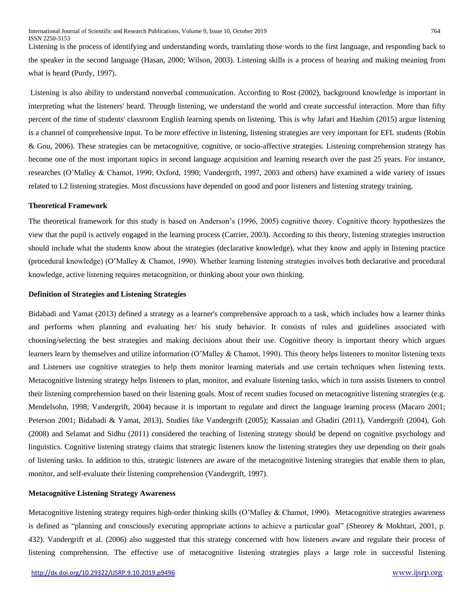Listening is the process of identifying and understanding words, translating those words to the first language, and responding back to the speaker in the second language (Hasan, 2000; Wilson, 2003). Listening skills is a process of hearing and making meaning from what is heard (Purdy, 1997).

Listening is also ability to understand nonverbal communication. According to Rost (2002), background knowledge is important in interpreting what the listeners' heard. Through listening, we understand the world and create successful interaction. More than fifty percent of the time of students' classroom English learning spends on listening. This is why Jafari and Hashim (2015) argue listening is a channel of comprehensive input. To be more effective in listening, listening strategies are very important for EFL students (Robin & Gou, 2006). These strategies can be metacognitive, cognitive, or socio-affective strategies. Listening comprehension strategy has become one of the most important topics in second language acquisition and learning research over the past 25 years. For instance, researches (O'Malley & Chamot, 1990; Oxford, 1990; Vandergrift, 1997, 2003 and others) have examined a wide variety of issues related to L2 listening strategies. Most discussions have depended on good and poor listeners and listening strategy training.

## **Theoretical Framework**

The theoretical framework for this study is based on Anderson's (1996, 2005) cognitive theory. Cognitive theory hypothesizes the view that the pupil is actively engaged in the learning process (Carrier, 2003). According to this theory, listening strategies instruction should include what the students know about the strategies (declarative knowledge), what they know and apply in listening practice (procedural knowledge) (O'Malley & Chamot, 1990). Whether learning listening strategies involves both declarative and procedural knowledge, active listening requires metacognition, or thinking about your own thinking.

# **Definition of Strategies and Listening Strategies**

Bidabadi and Yamat (2013) defined a strategy as a learner's comprehensive approach to a task, which includes how a learner thinks and performs when planning and evaluating her/ his study behavior. It consists of rules and guidelines associated with choosing/selecting the best strategies and making decisions about their use. Cognitive theory is important theory which argues learners learn by themselves and utilize information (O'Malley & Chamot, 1990). This theory helps listeners to monitor listening texts and Listeners use cognitive strategies to help them monitor learning materials and use certain techniques when listening texts. Metacognitive listening strategy helps listeners to plan, monitor, and evaluate listening tasks, which in turn assists listeners to control their listening comprehension based on their listening goals. Most of recent studies focused on metacognitive listening strategies (e.g. Mendelsohn, 1998; Vandergrift, 2004) because it is important to regulate and direct the language learning process (Macaro 2001; Peterson 2001; Bidabadi & Yamat, 2013). Studies like Vandergrift (2005); Kassaian and Ghadiri (2011), Vandergrift (2004), Goh (2008) and Selamat and Sidhu (2011) considered the teaching of listening strategy should be depend on cognitive psychology and linguistics. Cognitive listening strategy claims that strategic listeners know the listening strategies they use depending on their goals of listening tasks. In addition to this, strategic listeners are aware of the metacognitive listening strategies that enable them to plan, monitor, and self-evaluate their listening comprehension (Vandergrift, 1997).

# **Metacognitive Listening Strategy Awareness**

Metacognitive listening strategy requires high-order thinking skills (O'Malley & Chamot, 1990). Metacognitive strategies awareness is defined as "planning and consciously executing appropriate actions to achieve a particular goal" (Sheorey & Mokhtari, 2001, p. 432). Vandergrift et al. (2006) also suggested that this strategy concerned with how listeners aware and regulate their process of listening comprehension. The effective use of metacognitive listening strategies plays a large role in successful listening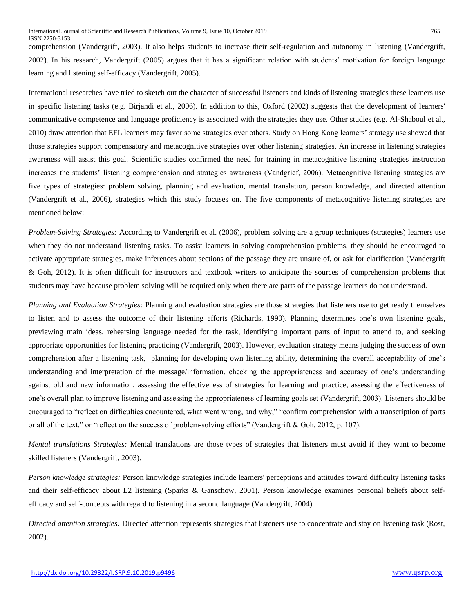comprehension (Vandergrift, 2003). It also helps students to increase their self-regulation and autonomy in listening (Vandergrift, 2002). In his research, Vandergrift (2005) argues that it has a significant relation with students' motivation for foreign language learning and listening self-efficacy (Vandergrift, 2005).

International researches have tried to sketch out the character of successful listeners and kinds of listening strategies these learners use in specific listening tasks (e.g. Birjandi et al., 2006). In addition to this, Oxford (2002) suggests that the development of learners' communicative competence and language proficiency is associated with the strategies they use. Other studies (e.g. Al-Shaboul et al., 2010) draw attention that EFL learners may favor some strategies over others. Study on Hong Kong learners' strategy use showed that those strategies support compensatory and metacognitive strategies over other listening strategies. An increase in listening strategies awareness will assist this goal. Scientific studies confirmed the need for training in metacognitive listening strategies instruction increases the students' listening comprehension and strategies awareness (Vandgrief, 2006). Metacognitive listening strategies are five types of strategies: problem solving, planning and evaluation, mental translation, person knowledge, and directed attention (Vandergrift et al., 2006), strategies which this study focuses on. The five components of metacognitive listening strategies are mentioned below:

*Problem-Solving Strategies:* According to Vandergrift et al. (2006), problem solving are a group techniques (strategies) learners use when they do not understand listening tasks. To assist learners in solving comprehension problems, they should be encouraged to activate appropriate strategies, make inferences about sections of the passage they are unsure of, or ask for clarification (Vandergrift & Goh, 2012). It is often difficult for instructors and textbook writers to anticipate the sources of comprehension problems that students may have because problem solving will be required only when there are parts of the passage learners do not understand.

*Planning and Evaluation Strategies:* Planning and evaluation strategies are those strategies that listeners use to get ready themselves to listen and to assess the outcome of their listening efforts (Richards, 1990). Planning determines one's own listening goals, previewing main ideas, rehearsing language needed for the task, identifying important parts of input to attend to, and seeking appropriate opportunities for listening practicing (Vandergrift, 2003). However, evaluation strategy means judging the success of own comprehension after a listening task, planning for developing own listening ability, determining the overall acceptability of one's understanding and interpretation of the message/information, checking the appropriateness and accuracy of one's understanding against old and new information, assessing the effectiveness of strategies for learning and practice, assessing the effectiveness of one's overall plan to improve listening and assessing the appropriateness of learning goals set (Vandergrift, 2003). Listeners should be encouraged to "reflect on difficulties encountered, what went wrong, and why," "confirm comprehension with a transcription of parts or all of the text," or "reflect on the success of problem-solving efforts" (Vandergrift & Goh, 2012, p. 107).

*Mental translations Strategies:* Mental translations are those types of strategies that listeners must avoid if they want to become skilled listeners (Vandergrift, 2003).

*Person knowledge strategies:* Person knowledge strategies include learners' perceptions and attitudes toward difficulty listening tasks and their self-efficacy about L2 listening (Sparks & Ganschow, 2001). Person knowledge examines personal beliefs about selfefficacy and self-concepts with regard to listening in a second language (Vandergrift, 2004).

*Directed attention strategies:* Directed attention represents strategies that listeners use to concentrate and stay on listening task (Rost, 2002).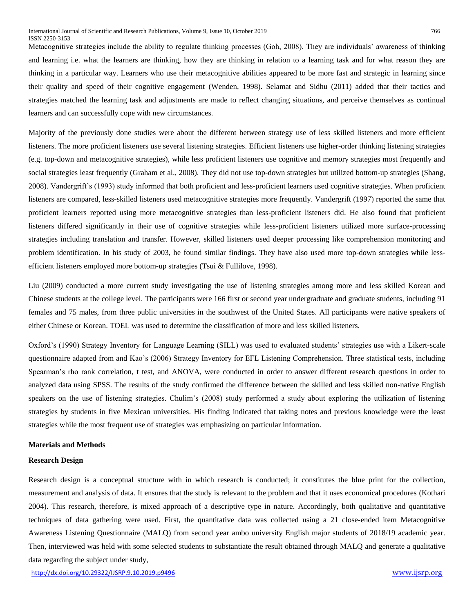Metacognitive strategies include the ability to regulate thinking processes (Goh, 2008). They are individuals' awareness of thinking and learning i.e. what the learners are thinking, how they are thinking in relation to a learning task and for what reason they are thinking in a particular way. Learners who use their metacognitive abilities appeared to be more fast and strategic in learning since their quality and speed of their cognitive engagement (Wenden, 1998). Selamat and Sidhu (2011) added that their tactics and strategies matched the learning task and adjustments are made to reflect changing situations, and perceive themselves as continual learners and can successfully cope with new circumstances.

Majority of the previously done studies were about the different between strategy use of less skilled listeners and more efficient listeners. The more proficient listeners use several listening strategies. Efficient listeners use higher-order thinking listening strategies (e.g. top-down and metacognitive strategies), while less proficient listeners use cognitive and memory strategies most frequently and social strategies least frequently (Graham et al., 2008). They did not use top-down strategies but utilized bottom-up strategies (Shang, 2008). Vandergrift's (1993) study informed that both proficient and less-proficient learners used cognitive strategies. When proficient listeners are compared, less-skilled listeners used metacognitive strategies more frequently. Vandergrift (1997) reported the same that proficient learners reported using more metacognitive strategies than less-proficient listeners did. He also found that proficient listeners differed significantly in their use of cognitive strategies while less-proficient listeners utilized more surface-processing strategies including translation and transfer. However, skilled listeners used deeper processing like comprehension monitoring and problem identification. In his study of 2003, he found similar findings. They have also used more top-down strategies while lessefficient listeners employed more bottom-up strategies (Tsui & Fullilove, 1998).

Liu (2009) conducted a more current study investigating the use of listening strategies among more and less skilled Korean and Chinese students at the college level. The participants were 166 first or second year undergraduate and graduate students, including 91 females and 75 males, from three public universities in the southwest of the United States. All participants were native speakers of either Chinese or Korean. TOEL was used to determine the classification of more and less skilled listeners.

Oxford's (1990) Strategy Inventory for Language Learning (SILL) was used to evaluated students' strategies use with a Likert-scale questionnaire adapted from and Kao's (2006) Strategy Inventory for EFL Listening Comprehension. Three statistical tests, including Spearman's rho rank correlation, t test, and ANOVA, were conducted in order to answer different research questions in order to analyzed data using SPSS. The results of the study confirmed the difference between the skilled and less skilled non-native English speakers on the use of listening strategies. Chulim's (2008) study performed a study about exploring the utilization of listening strategies by students in five Mexican universities. His finding indicated that taking notes and previous knowledge were the least strategies while the most frequent use of strategies was emphasizing on particular information.

#### **Materials and Methods**

#### **Research Design**

Research design is a conceptual structure with in which research is conducted; it constitutes the blue print for the collection, measurement and analysis of data. It ensures that the study is relevant to the problem and that it uses economical procedures (Kothari 2004). This research, therefore, is mixed approach of a descriptive type in nature. Accordingly, both qualitative and quantitative techniques of data gathering were used. First, the quantitative data was collected using a 21 close-ended item Metacognitive Awareness Listening Questionnaire (MALQ) from second year ambo university English major students of 2018/19 academic year. Then, interviewed was held with some selected students to substantiate the result obtained through MALQ and generate a qualitative data regarding the subject under study,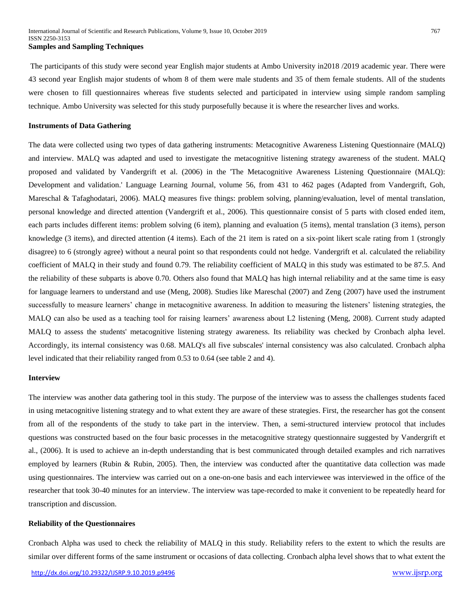The participants of this study were second year English major students at Ambo University in2018 /2019 academic year. There were 43 second year English major students of whom 8 of them were male students and 35 of them female students. All of the students were chosen to fill questionnaires whereas five students selected and participated in interview using simple random sampling technique. Ambo University was selected for this study purposefully because it is where the researcher lives and works.

#### **Instruments of Data Gathering**

The data were collected using two types of data gathering instruments: Metacognitive Awareness Listening Questionnaire (MALQ) and interview. MALQ was adapted and used to investigate the metacognitive listening strategy awareness of the student. MALQ proposed and validated by Vandergrift et al. (2006) in the 'The Metacognitive Awareness Listening Questionnaire (MALQ): Development and validation.' Language Learning Journal, volume 56, from 431 to 462 pages (Adapted from Vandergrift, Goh, Mareschal & Tafaghodatari, 2006). MALQ measures five things: problem solving, planning/evaluation, level of mental translation, personal knowledge and directed attention (Vandergrift et al., 2006). This questionnaire consist of 5 parts with closed ended item, each parts includes different items: problem solving (6 item), planning and evaluation (5 items), mental translation (3 items), person knowledge (3 items), and directed attention (4 items). Each of the 21 item is rated on a six-point likert scale rating from 1 (strongly disagree) to 6 (strongly agree) without a neural point so that respondents could not hedge. Vandergrift et al. calculated the reliability coefficient of MALQ in their study and found 0.79. The reliability coefficient of MALQ in this study was estimated to be 87.5. And the reliability of these subparts is above 0.70. Others also found that MALQ has high internal reliability and at the same time is easy for language learners to understand and use (Meng, 2008). Studies like Mareschal (2007) and Zeng (2007) have used the instrument successfully to measure learners' change in metacognitive awareness. In addition to measuring the listeners' listening strategies, the MALQ can also be used as a teaching tool for raising learners' awareness about L2 listening (Meng, 2008). Current study adapted MALQ to assess the students' metacognitive listening strategy awareness. Its reliability was checked by Cronbach alpha level. Accordingly, its internal consistency was 0.68. MALQ's all five subscales' internal consistency was also calculated. Cronbach alpha level indicated that their reliability ranged from 0.53 to 0.64 (see table 2 and 4).

# **Interview**

The interview was another data gathering tool in this study. The purpose of the interview was to assess the challenges students faced in using metacognitive listening strategy and to what extent they are aware of these strategies. First, the researcher has got the consent from all of the respondents of the study to take part in the interview. Then, a semi-structured interview protocol that includes questions was constructed based on the four basic processes in the metacognitive strategy questionnaire suggested by Vandergrift et al., (2006). It is used to achieve an in-depth understanding that is best communicated through detailed examples and rich narratives employed by learners (Rubin & Rubin, 2005). Then, the interview was conducted after the quantitative data collection was made using questionnaires. The interview was carried out on a one-on-one basis and each interviewee was interviewed in the office of the researcher that took 30-40 minutes for an interview. The interview was tape-recorded to make it convenient to be repeatedly heard for transcription and discussion.

### **Reliability of the Questionnaires**

Cronbach Alpha was used to check the reliability of MALQ in this study. Reliability refers to the extent to which the results are similar over different forms of the same instrument or occasions of data collecting. Cronbach alpha level shows that to what extent the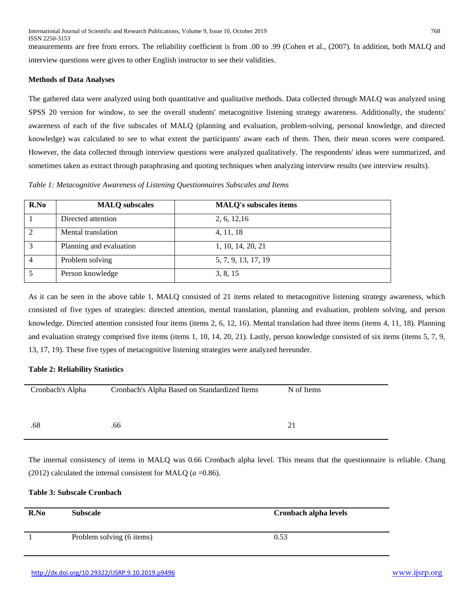measurements are free from errors. The reliability coefficient is from .00 to .99 (Cohen et al., (2007). In addition, both MALQ and interview questions were given to other English instructor to see their validities.

# **Methods of Data Analyses**

The gathered data were analyzed using both quantitative and qualitative methods. Data collected through MALQ was analyzed using SPSS 20 version for window, to see the overall students' metacognitive listening strategy awareness. Additionally, the students' awareness of each of the five subscales of MALQ (planning and evaluation, problem-solving, personal knowledge, and directed knowledge) was calculated to see to what extent the participants' aware each of them. Then, their mean scores were compared. However, the data collected through interview questions were analyzed qualitatively. The respondents' ideas were summarized, and sometimes taken as extract through paraphrasing and quoting techniques when analyzing interview results (see interview results).

*Table 1: Metacognitive Awareness of Listening Questionnaires Subscales and Items*

| R.No | <b>MALQ</b> subscales   | <b>MALQ's subscales items</b> |
|------|-------------------------|-------------------------------|
|      | Directed attention      | 2, 6, 12, 16                  |
| 2    | Mental translation      | 4, 11, 18                     |
| 3    | Planning and evaluation | 1, 10, 14, 20, 21             |
| 4    | Problem solving         | 5, 7, 9, 13, 17, 19           |
|      | Person knowledge        | 3, 8, 15                      |

As it can be seen in the above table 1, MALQ consisted of 21 items related to metacognitive listening strategy awareness, which consisted of five types of strategies: directed attention, mental translation, planning and evaluation, problem solving, and person knowledge. Directed attention consisted four items (items 2, 6, 12, 16). Mental translation had three items (items 4, 11, 18). Planning and evaluation strategy comprised five items (items 1, 10, 14, 20, 21). Lastly, person knowledge consisted of six items (items 5, 7, 9, 13, 17, 19). These five types of metacognitive listening strategies were analyzed hereunder.

# **Table 2: Reliability Statistics**

| Cronbach's Alpha | Cronbach's Alpha Based on Standardized Items | N of Items |
|------------------|----------------------------------------------|------------|
| .68              | .66                                          | 21         |

The internal consistency of items in MALQ was 0.66 Cronbach alpha level. This means that the questionnaire is reliable. Chang (2012) calculated the internal consistent for MALQ  $(a=0.86)$ .

# **Table 3: Subscale Cronbach**

| R.No | <b>Subscale</b>           | Cronbach alpha levels |
|------|---------------------------|-----------------------|
|      | Problem solving (6 items) | 0.53                  |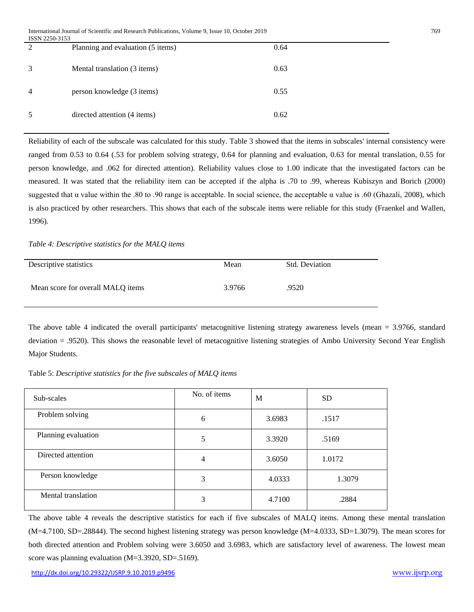| 1991Y 2290-9199 |                                   |      |
|-----------------|-----------------------------------|------|
| $\mathcal{D}$   | Planning and evaluation (5 items) | 0.64 |
|                 | Mental translation (3 items)      | 0.63 |
| $\overline{4}$  | person knowledge (3 items)        | 0.55 |
|                 | directed attention (4 items)      | 0.62 |

Reliability of each of the subscale was calculated for this study. Table 3 showed that the items in subscales' internal consistency were ranged from 0.53 to 0.64 (.53 for problem solving strategy, 0.64 for planning and evaluation, 0.63 for mental translation, 0.55 for person knowledge, and .062 for directed attention). Reliability values close to 1.00 indicate that the investigated factors can be measured. It was stated that the reliability item can be accepted if the alpha is .70 to .99, whereas Kubiszyn and Borich (2000) suggested that α value within the .80 to .90 range is acceptable. In social science, the acceptable α value is .60 (Ghazali, 2008), which is also practiced by other researchers. This shows that each of the subscale items were reliable for this study (Fraenkel and Wallen, 1996).

*Table 4: Descriptive statistics for the MALQ items* 

| Descriptive statistics            | Mean   | <b>Std. Deviation</b> |
|-----------------------------------|--------|-----------------------|
| Mean score for overall MALQ items | 3.9766 | .9520                 |

The above table 4 indicated the overall participants' metacognitive listening strategy awareness levels (mean = 3.9766, standard deviation = .9520). This shows the reasonable level of metacognitive listening strategies of Ambo University Second Year English Major Students.

Table 5: *Descriptive statistics for the five subscales of MALQ items*

| Sub-scales          | No. of items | M      | <b>SD</b> |
|---------------------|--------------|--------|-----------|
| Problem solving     | 6            | 3.6983 | .1517     |
| Planning evaluation | 5            | 3.3920 | .5169     |
| Directed attention  | 4            | 3.6050 | 1.0172    |
| Person knowledge    | 3            | 4.0333 | 1.3079    |
| Mental translation  | 3            | 4.7100 | .2884     |

The above table 4 reveals the descriptive statistics for each if five subscales of MALQ items. Among these mental translation (M=4.7100, SD=.28844). The second highest listening strategy was person knowledge (M=4.0333, SD=1.3079). The mean scores for both directed attention and Problem solving were 3.6050 and 3.6983, which are satisfactory level of awareness. The lowest mean score was planning evaluation (M=3.3920, SD=.5169).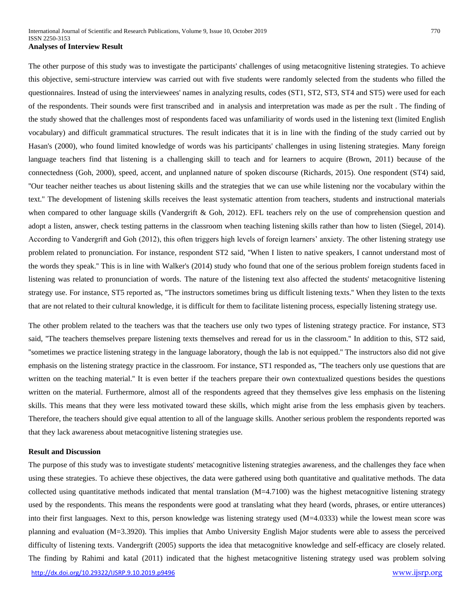The other purpose of this study was to investigate the participants' challenges of using metacognitive listening strategies. To achieve this objective, semi-structure interview was carried out with five students were randomly selected from the students who filled the questionnaires. Instead of using the interviewees' names in analyzing results, codes (ST1, ST2, ST3, ST4 and ST5) were used for each of the respondents. Their sounds were first transcribed and in analysis and interpretation was made as per the rsult . The finding of the study showed that the challenges most of respondents faced was unfamiliarity of words used in the listening text (limited English vocabulary) and difficult grammatical structures. The result indicates that it is in line with the finding of the study carried out by Hasan's (2000), who found limited knowledge of words was his participants' challenges in using listening strategies. Many foreign language teachers find that listening is a challenging skill to teach and for learners to acquire (Brown, 2011) because of the connectedness (Goh, 2000), speed, accent, and unplanned nature of spoken discourse (Richards, 2015). One respondent (ST4) said, ''Our teacher neither teaches us about listening skills and the strategies that we can use while listening nor the vocabulary within the text.'' The development of listening skills receives the least systematic attention from teachers, students and instructional materials when compared to other language skills (Vandergrift & Goh, 2012). EFL teachers rely on the use of comprehension question and adopt a listen, answer, check testing patterns in the classroom when teaching listening skills rather than how to listen (Siegel, 2014). According to Vandergrift and Goh (2012), this often triggers high levels of foreign learners' anxiety. The other listening strategy use problem related to pronunciation. For instance, respondent ST2 said, ''When I listen to native speakers, I cannot understand most of the words they speak.'' This is in line with Walker's (2014) study who found that one of the serious problem foreign students faced in listening was related to pronunciation of words. The nature of the listening text also affected the students' metacognitive listening strategy use. For instance, ST5 reported as, ''The instructors sometimes bring us difficult listening texts.'' When they listen to the texts that are not related to their cultural knowledge, it is difficult for them to facilitate listening process, especially listening strategy use.

The other problem related to the teachers was that the teachers use only two types of listening strategy practice. For instance, ST3 said, ''The teachers themselves prepare listening texts themselves and reread for us in the classroom.'' In addition to this, ST2 said, ''sometimes we practice listening strategy in the language laboratory, though the lab is not equipped.'' The instructors also did not give emphasis on the listening strategy practice in the classroom. For instance, ST1 responded as, ''The teachers only use questions that are written on the teaching material.'' It is even better if the teachers prepare their own contextualized questions besides the questions written on the material. Furthermore, almost all of the respondents agreed that they themselves give less emphasis on the listening skills. This means that they were less motivated toward these skills, which might arise from the less emphasis given by teachers. Therefore, the teachers should give equal attention to all of the language skills. Another serious problem the respondents reported was that they lack awareness about metacognitive listening strategies use.

## **Result and Discussion**

<http://dx.doi.org/10.29322/IJSRP.9.10.2019.p9496> [www.ijsrp.org](http://ijsrp.org/) The purpose of this study was to investigate students' metacognitive listening strategies awareness, and the challenges they face when using these strategies. To achieve these objectives, the data were gathered using both quantitative and qualitative methods. The data collected using quantitative methods indicated that mental translation (M=4.7100) was the highest metacognitive listening strategy used by the respondents. This means the respondents were good at translating what they heard (words, phrases, or entire utterances) into their first languages. Next to this, person knowledge was listening strategy used (M=4.0333) while the lowest mean score was planning and evaluation (M=3.3920). This implies that Ambo University English Major students were able to assess the perceived difficulty of listening texts. Vandergrift (2005) supports the idea that metacognitive knowledge and self-efficacy are closely related. The finding by Rahimi and katal (2011) indicated that the highest metacognitive listening strategy used was problem solving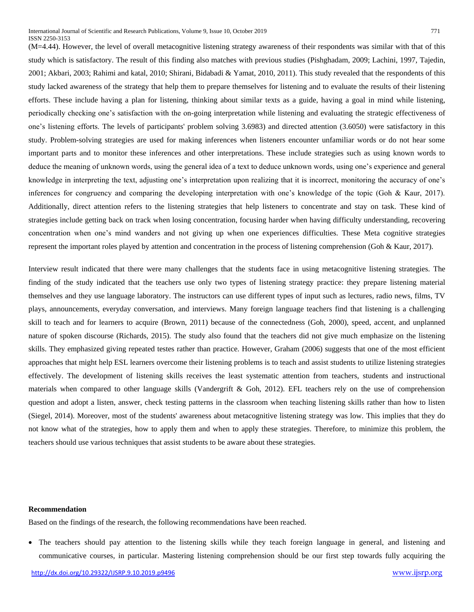(M=4.44). However, the level of overall metacognitive listening strategy awareness of their respondents was similar with that of this study which is satisfactory. The result of this finding also matches with previous studies (Pishghadam, 2009; Lachini, 1997, Tajedin, 2001; Akbari, 2003; Rahimi and katal, 2010; Shirani, Bidabadi & Yamat, 2010, 2011). This study revealed that the respondents of this study lacked awareness of the strategy that help them to prepare themselves for listening and to evaluate the results of their listening efforts. These include having a plan for listening, thinking about similar texts as a guide, having a goal in mind while listening, periodically checking one's satisfaction with the on-going interpretation while listening and evaluating the strategic effectiveness of one's listening efforts. The levels of participants' problem solving 3.6983) and directed attention (3.6050) were satisfactory in this study. Problem-solving strategies are used for making inferences when listeners encounter unfamiliar words or do not hear some important parts and to monitor these inferences and other interpretations. These include strategies such as using known words to deduce the meaning of unknown words, using the general idea of a text to deduce unknown words, using one's experience and general knowledge in interpreting the text, adjusting one's interpretation upon realizing that it is incorrect, monitoring the accuracy of one's inferences for congruency and comparing the developing interpretation with one's knowledge of the topic (Goh & Kaur, 2017). Additionally, direct attention refers to the listening strategies that help listeners to concentrate and stay on task. These kind of strategies include getting back on track when losing concentration, focusing harder when having difficulty understanding, recovering concentration when one's mind wanders and not giving up when one experiences difficulties. These Meta cognitive strategies represent the important roles played by attention and concentration in the process of listening comprehension (Goh & Kaur, 2017).

Interview result indicated that there were many challenges that the students face in using metacognitive listening strategies. The finding of the study indicated that the teachers use only two types of listening strategy practice: they prepare listening material themselves and they use language laboratory. The instructors can use different types of input such as lectures, radio news, films, TV plays, announcements, everyday conversation, and interviews. Many foreign language teachers find that listening is a challenging skill to teach and for learners to acquire (Brown, 2011) because of the connectedness (Goh, 2000), speed, accent, and unplanned nature of spoken discourse (Richards, 2015). The study also found that the teachers did not give much emphasize on the listening skills. They emphasized giving repeated testes rather than practice. However, Graham (2006) suggests that one of the most efficient approaches that might help ESL learners overcome their listening problems is to teach and assist students to utilize listening strategies effectively. The development of listening skills receives the least systematic attention from teachers, students and instructional materials when compared to other language skills (Vandergrift & Goh, 2012). EFL teachers rely on the use of comprehension question and adopt a listen, answer, check testing patterns in the classroom when teaching listening skills rather than how to listen (Siegel, 2014). Moreover, most of the students' awareness about metacognitive listening strategy was low. This implies that they do not know what of the strategies, how to apply them and when to apply these strategies. Therefore, to minimize this problem, the teachers should use various techniques that assist students to be aware about these strategies.

# **Recommendation**

Based on the findings of the research, the following recommendations have been reached.

 The teachers should pay attention to the listening skills while they teach foreign language in general, and listening and communicative courses, in particular. Mastering listening comprehension should be our first step towards fully acquiring the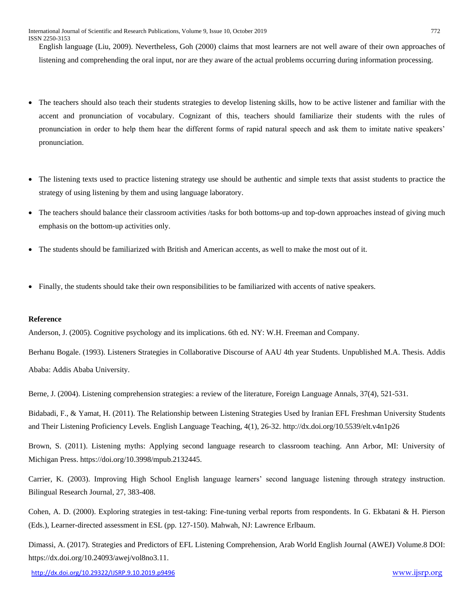English language (Liu, 2009). Nevertheless, Goh (2000) claims that most learners are not well aware of their own approaches of listening and comprehending the oral input, nor are they aware of the actual problems occurring during information processing.

- The teachers should also teach their students strategies to develop listening skills, how to be active listener and familiar with the accent and pronunciation of vocabulary. Cognizant of this, teachers should familiarize their students with the rules of pronunciation in order to help them hear the different forms of rapid natural speech and ask them to imitate native speakers' pronunciation.
- The listening texts used to practice listening strategy use should be authentic and simple texts that assist students to practice the strategy of using listening by them and using language laboratory.
- The teachers should balance their classroom activities /tasks for both bottoms-up and top-down approaches instead of giving much emphasis on the bottom-up activities only.
- The students should be familiarized with British and American accents, as well to make the most out of it.
- Finally, the students should take their own responsibilities to be familiarized with accents of native speakers.

# **Reference**

Anderson, J. (2005). Cognitive psychology and its implications. 6th ed. NY: W.H. Freeman and Company.

Berhanu Bogale. (1993). Listeners Strategies in Collaborative Discourse of AAU 4th year Students. Unpublished M.A. Thesis. Addis Ababa: Addis Ababa University.

Berne, J. (2004). Listening comprehension strategies: a review of the literature, Foreign Language Annals, 37(4), 521-531.

Bidabadi, F., & Yamat, H. (2011). The Relationship between Listening Strategies Used by Iranian EFL Freshman University Students and Their Listening Proficiency Levels. English Language Teaching, 4(1), 26-32. http://dx.doi.org/10.5539/elt.v4n1p26

Brown, S. (2011). Listening myths: Applying second language research to classroom teaching. Ann Arbor, MI: University of Michigan Press. https://doi.org/10.3998/mpub.2132445.

Carrier, K. (2003). Improving High School English language learners' second language listening through strategy instruction. Bilingual Research Journal, 27, 383-408.

Cohen, A. D. (2000). Exploring strategies in test-taking: Fine-tuning verbal reports from respondents. In G. Ekbatani & H. Pierson (Eds.), Learner-directed assessment in ESL (pp. 127-150). Mahwah, NJ: Lawrence Erlbaum.

Dimassi, A. (2017). Strategies and Predictors of EFL Listening Comprehension, Arab World English Journal (AWEJ) Volume.8 DOI: https://dx.doi.org/10.24093/awej/vol8no3.11.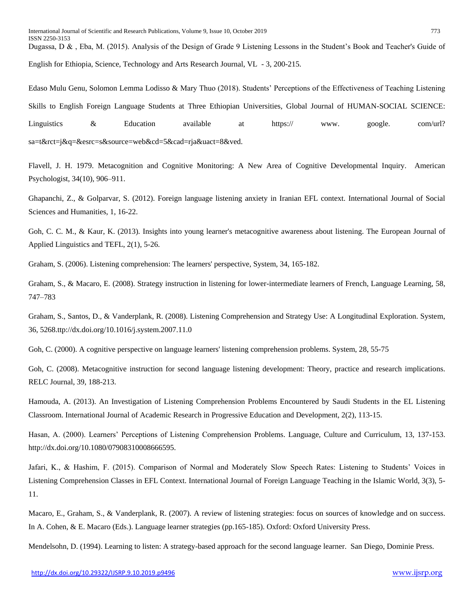Dugassa, D & , Eba, M. (2015). Analysis of the Design of Grade 9 Listening Lessons in the Student's Book and Teacher's Guide of English for Ethiopia, Science, Technology and Arts Research Journal, VL - 3, 200-215.

Edaso Mulu Genu, Solomon Lemma Lodisso & Mary Thuo (2018). Students' Perceptions of the Effectiveness of Teaching Listening Skills to English Foreign Language Students at Three Ethiopian Universities, Global Journal of HUMAN-SOCIAL SCIENCE: Linguistics & Education available at https:// www. google. com/url? sa=t&rct=j&q=&esrc=s&source=web&cd=5&cad=rja&uact=8&ved.

Flavell, J. H. 1979. Metacognition and Cognitive Monitoring: A New Area of Cognitive Developmental Inquiry. American Psychologist, 34(10), 906–911.

Ghapanchi, Z., & Golparvar, S. (2012). Foreign language listening anxiety in Iranian EFL context. International Journal of Social Sciences and Humanities, 1, 16-22.

Goh, C. C. M., & Kaur, K. (2013). Insights into young learner's metacognitive awareness about listening. The European Journal of Applied Linguistics and TEFL, 2(1), 5-26.

Graham, S. (2006). Listening comprehension: The learners' perspective, System, 34, 165-182.

Graham, S., & Macaro, E. (2008). Strategy instruction in listening for lower-intermediate learners of French, Language Learning, 58, 747–783

Graham, S., Santos, D., & Vanderplank, R. (2008). Listening Comprehension and Strategy Use: A Longitudinal Exploration. System, 36, 5268.ttp://dx.doi.org/10.1016/j.system.2007.11.0

Goh, C. (2000). A cognitive perspective on language learners' listening comprehension problems. System, 28, 55-75

Goh, C. (2008). Metacognitive instruction for second language listening development: Theory, practice and research implications. RELC Journal, 39, 188-213.

Hamouda, A. (2013). An Investigation of Listening Comprehension Problems Encountered by Saudi Students in the EL Listening Classroom. International Journal of Academic Research in Progressive Education and Development, 2(2), 113-15.

Hasan, A. (2000). Learners' Perceptions of Listening Comprehension Problems. Language, Culture and Curriculum, 13, 137-153. http://dx.doi.org/10.1080/07908310008666595.

Jafari, K., & Hashim, F. (2015). Comparison of Normal and Moderately Slow Speech Rates: Listening to Students' Voices in Listening Comprehension Classes in EFL Context. International Journal of Foreign Language Teaching in the Islamic World, 3(3), 5- 11.

Macaro, E., Graham, S., & Vanderplank, R. (2007). A review of listening strategies: focus on sources of knowledge and on success. In A. Cohen, & E. Macaro (Eds.). Language learner strategies (pp.165-185). Oxford: Oxford University Press.

Mendelsohn, D. (1994). Learning to listen: A strategy-based approach for the second language learner. San Diego, Dominie Press.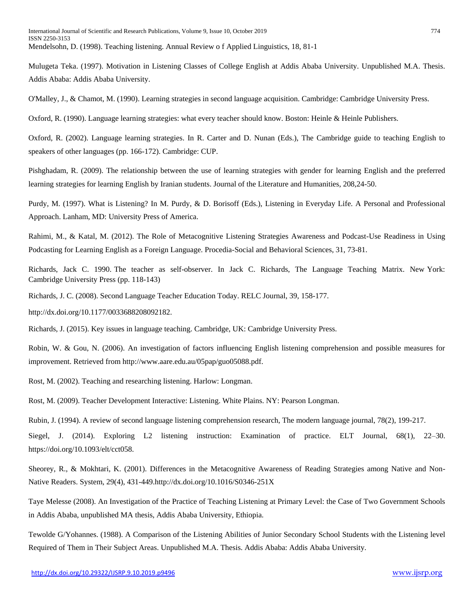Mulugeta Teka. (1997). Motivation in Listening Classes of College English at Addis Ababa University. Unpublished M.A. Thesis. Addis Ababa: Addis Ababa University.

O'Malley, J., & Chamot, M. (1990). Learning strategies in second language acquisition. Cambridge: Cambridge University Press.

Oxford, R. (1990). Language learning strategies: what every teacher should know. Boston: Heinle & Heinle Publishers.

Oxford, R. (2002). Language learning strategies. In R. Carter and D. Nunan (Eds.), The Cambridge guide to teaching English to speakers of other languages (pp. 166-172). Cambridge: CUP.

Pishghadam, R. (2009). The relationship between the use of learning strategies with gender for learning English and the preferred learning strategies for learning English by Iranian students. Journal of the Literature and Humanities, 208,24-50.

Purdy, M. (1997). What is Listening? In M. Purdy, & D. Borisoff (Eds.), Listening in Everyday Life. A Personal and Professional Approach. Lanham, MD: University Press of America.

Rahimi, M., & Katal, M. (2012). The Role of Metacognitive Listening Strategies Awareness and Podcast-Use Readiness in Using Podcasting for Learning English as a Foreign Language. Procedia-Social and Behavioral Sciences, 31, 73-81.

Richards, Jack C. 1990. The teacher as self-observer. In Jack C. Richards, The Language Teaching Matrix. New York: Cambridge University Press (pp. 118-143)

Richards, J. C. (2008). Second Language Teacher Education Today. RELC Journal, 39, 158-177.

http://dx.doi.org/10.1177/0033688208092182.

Richards, J. (2015). Key issues in language teaching. Cambridge, UK: Cambridge University Press.

Robin, W. & Gou, N. (2006). An investigation of factors influencing English listening comprehension and possible measures for improvement. Retrieved from http://www.aare.edu.au/05pap/guo05088.pdf.

Rost, M. (2002). Teaching and researching listening. Harlow: Longman.

Rost, M. (2009). Teacher Development Interactive: Listening. White Plains. NY: Pearson Longman.

Rubin, J. (1994). A review of second language listening comprehension research, The modern language journal, 78(2), 199-217.

Siegel, J. (2014). Exploring L2 listening instruction: Examination of practice. ELT Journal, 68(1), 22–30. https://doi.org/10.1093/elt/cct058.

Sheorey, R., & Mokhtari, K. (2001). Differences in the Metacognitive Awareness of Reading Strategies among Native and Non-Native Readers. System, 29(4), 431-449.http://dx.doi.org/10.1016/S0346-251X

Taye Melesse (2008). An Investigation of the Practice of Teaching Listening at Primary Level: the Case of Two Government Schools in Addis Ababa, unpublished MA thesis, Addis Ababa University, Ethiopia.

Tewolde G/Yohannes. (1988). A Comparison of the Listening Abilities of Junior Secondary School Students with the Listening level Required of Them in Their Subject Areas. Unpublished M.A. Thesis. Addis Ababa: Addis Ababa University.